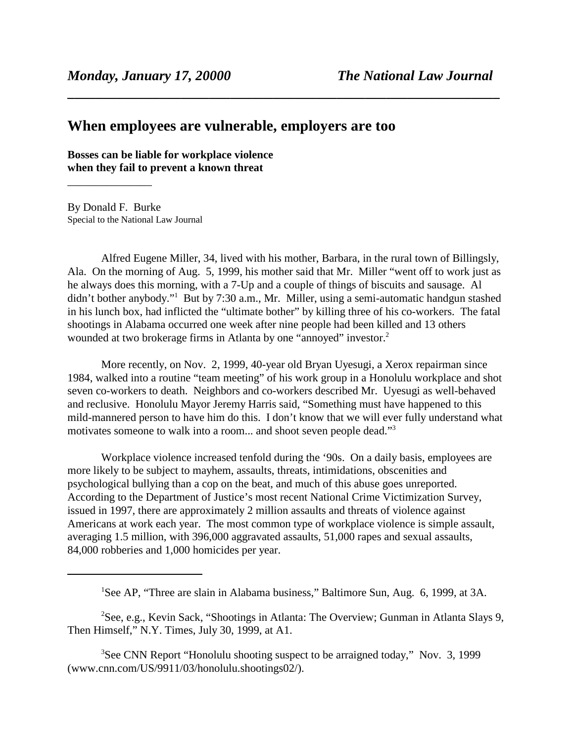## **When employees are vulnerable, employers are too**

**Bosses can be liable for workplace violence when they fail to prevent a known threat**

By Donald F. Burke Special to the National Law Journal

\_\_\_\_\_\_\_\_\_\_\_\_\_\_\_

Alfred Eugene Miller, 34, lived with his mother, Barbara, in the rural town of Billingsly, Ala. On the morning of Aug. 5, 1999, his mother said that Mr. Miller "went off to work just as he always does this morning, with a 7-Up and a couple of things of biscuits and sausage. Al didn't bother anybody."<sup>1</sup> But by 7:30 a.m., Mr. Miller, using a semi-automatic handgun stashed in his lunch box, had inflicted the "ultimate bother" by killing three of his co-workers. The fatal shootings in Alabama occurred one week after nine people had been killed and 13 others wounded at two brokerage firms in Atlanta by one "annoyed" investor.<sup>2</sup>

**\_\_\_\_\_\_\_\_\_\_\_\_\_\_\_\_\_\_\_\_\_\_\_\_\_\_\_\_\_\_\_\_\_\_\_\_\_\_\_\_\_\_\_\_\_\_\_\_\_\_\_\_\_\_\_\_\_\_\_\_\_**

More recently, on Nov. 2, 1999, 40-year old Bryan Uyesugi, a Xerox repairman since 1984, walked into a routine "team meeting" of his work group in a Honolulu workplace and shot seven co-workers to death. Neighbors and co-workers described Mr. Uyesugi as well-behaved and reclusive. Honolulu Mayor Jeremy Harris said, "Something must have happened to this mild-mannered person to have him do this. I don't know that we will ever fully understand what motivates someone to walk into a room... and shoot seven people dead."3

Workplace violence increased tenfold during the '90s. On a daily basis, employees are more likely to be subject to mayhem, assaults, threats, intimidations, obscenities and psychological bullying than a cop on the beat, and much of this abuse goes unreported. According to the Department of Justice's most recent National Crime Victimization Survey, issued in 1997, there are approximately 2 million assaults and threats of violence against Americans at work each year. The most common type of workplace violence is simple assault, averaging 1.5 million, with 396,000 aggravated assaults, 51,000 rapes and sexual assaults, 84,000 robberies and 1,000 homicides per year.

<sup>2</sup>See, e.g., Kevin Sack, "Shootings in Atlanta: The Overview; Gunman in Atlanta Slays 9, Then Himself," N.Y. Times, July 30, 1999, at A1.

<sup>3</sup>See CNN Report "Honolulu shooting suspect to be arraigned today," Nov. 3, 1999 (www.cnn.com/US/9911/03/honolulu.shootings02/).

<sup>&</sup>lt;sup>1</sup>See AP, "Three are slain in Alabama business," Baltimore Sun, Aug. 6, 1999, at 3A.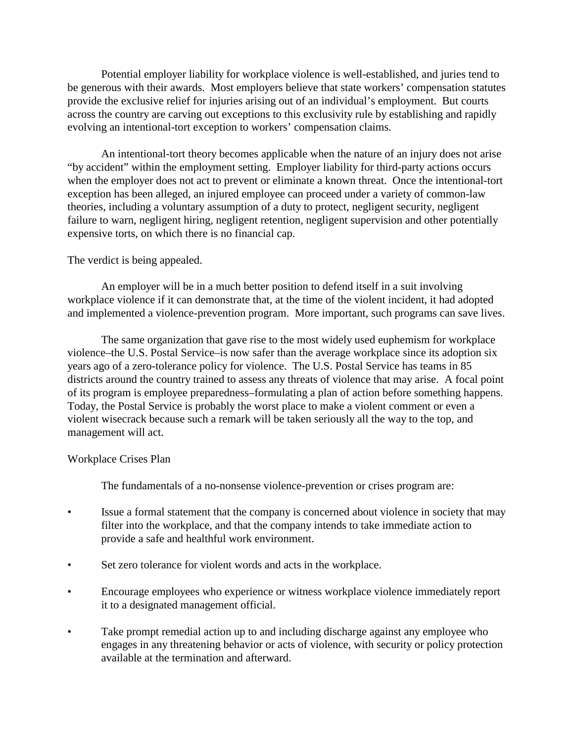Potential employer liability for workplace violence is well-established, and juries tend to be generous with their awards. Most employers believe that state workers' compensation statutes provide the exclusive relief for injuries arising out of an individual's employment. But courts across the country are carving out exceptions to this exclusivity rule by establishing and rapidly evolving an intentional-tort exception to workers' compensation claims.

An intentional-tort theory becomes applicable when the nature of an injury does not arise "by accident" within the employment setting. Employer liability for third-party actions occurs when the employer does not act to prevent or eliminate a known threat. Once the intentional-tort exception has been alleged, an injured employee can proceed under a variety of common-law theories, including a voluntary assumption of a duty to protect, negligent security, negligent failure to warn, negligent hiring, negligent retention, negligent supervision and other potentially expensive torts, on which there is no financial cap.

## The verdict is being appealed.

An employer will be in a much better position to defend itself in a suit involving workplace violence if it can demonstrate that, at the time of the violent incident, it had adopted and implemented a violence-prevention program. More important, such programs can save lives.

The same organization that gave rise to the most widely used euphemism for workplace violence–the U.S. Postal Service–is now safer than the average workplace since its adoption six years ago of a zero-tolerance policy for violence. The U.S. Postal Service has teams in 85 districts around the country trained to assess any threats of violence that may arise. A focal point of its program is employee preparedness–formulating a plan of action before something happens. Today, the Postal Service is probably the worst place to make a violent comment or even a violent wisecrack because such a remark will be taken seriously all the way to the top, and management will act.

## Workplace Crises Plan

The fundamentals of a no-nonsense violence-prevention or crises program are:

- Issue a formal statement that the company is concerned about violence in society that may filter into the workplace, and that the company intends to take immediate action to provide a safe and healthful work environment.
- Set zero tolerance for violent words and acts in the workplace.
- Encourage employees who experience or witness workplace violence immediately report it to a designated management official.
- Take prompt remedial action up to and including discharge against any employee who engages in any threatening behavior or acts of violence, with security or policy protection available at the termination and afterward.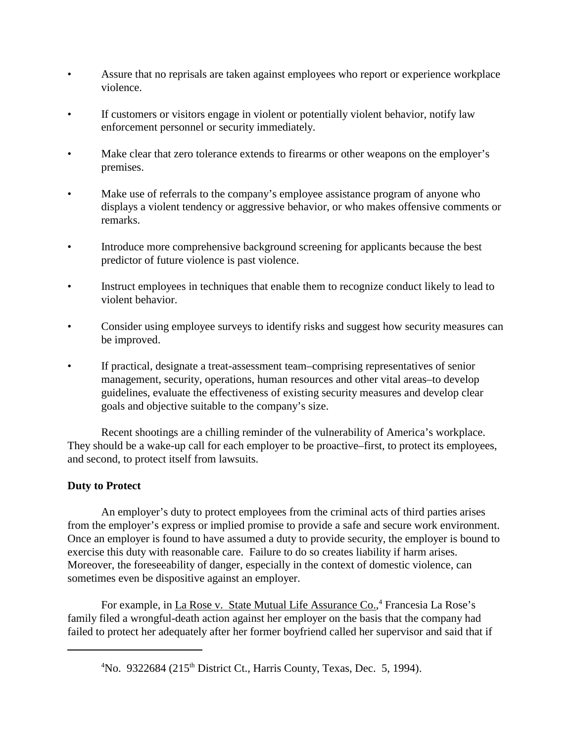- Assure that no reprisals are taken against employees who report or experience workplace violence.
- If customers or visitors engage in violent or potentially violent behavior, notify law enforcement personnel or security immediately.
- Make clear that zero tolerance extends to firearms or other weapons on the employer's premises.
- Make use of referrals to the company's employee assistance program of anyone who displays a violent tendency or aggressive behavior, or who makes offensive comments or remarks.
- Introduce more comprehensive background screening for applicants because the best predictor of future violence is past violence.
- Instruct employees in techniques that enable them to recognize conduct likely to lead to violent behavior.
- Consider using employee surveys to identify risks and suggest how security measures can be improved.
- If practical, designate a treat-assessment team–comprising representatives of senior management, security, operations, human resources and other vital areas–to develop guidelines, evaluate the effectiveness of existing security measures and develop clear goals and objective suitable to the company's size.

Recent shootings are a chilling reminder of the vulnerability of America's workplace. They should be a wake-up call for each employer to be proactive–first, to protect its employees, and second, to protect itself from lawsuits.

## **Duty to Protect**

An employer's duty to protect employees from the criminal acts of third parties arises from the employer's express or implied promise to provide a safe and secure work environment. Once an employer is found to have assumed a duty to provide security, the employer is bound to exercise this duty with reasonable care. Failure to do so creates liability if harm arises. Moreover, the foreseeability of danger, especially in the context of domestic violence, can sometimes even be dispositive against an employer.

For example, in La Rose v. State Mutual Life Assurance Co.,<sup>4</sup> Francesia La Rose's family filed a wrongful-death action against her employer on the basis that the company had failed to protect her adequately after her former boyfriend called her supervisor and said that if

<sup>&</sup>lt;sup>4</sup>No. 9322684 (215<sup>th</sup> District Ct., Harris County, Texas, Dec. 5, 1994).